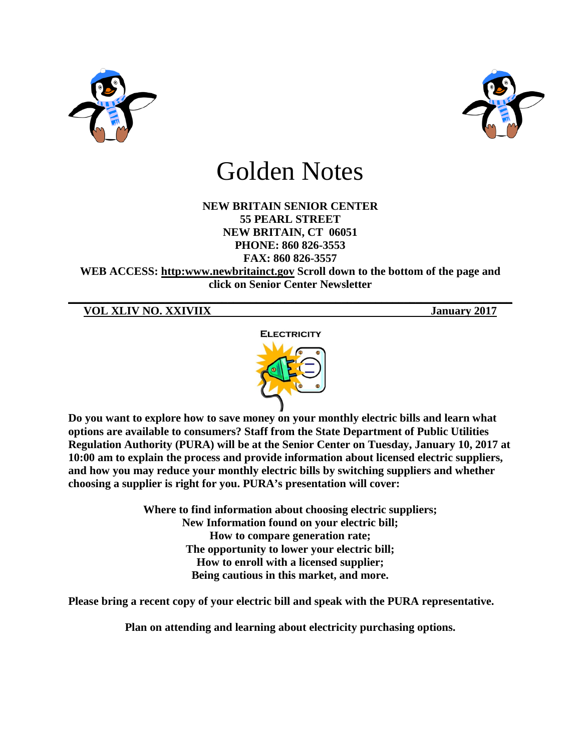



# Golden Notes

### **NEW BRITAIN SENIOR CENTER 55 PEARL STREET NEW BRITAIN, CT 06051 PHONE: 860 826-3553 FAX: 860 826-3557**

**WEB ACCESS: http:www.newbritainct.gov Scroll down to the bottom of the page and click on Senior Center Newsletter** 

**\_\_\_\_\_\_\_\_\_\_\_\_\_\_\_\_\_\_\_\_\_\_\_\_\_\_\_\_\_\_\_\_\_\_\_\_\_\_\_\_\_\_\_\_\_\_\_\_\_\_\_\_\_\_\_\_\_\_\_\_\_\_\_\_\_\_\_\_\_\_\_\_\_\_\_\_\_\_**

**VOL XLIV NO. XXIVIIX January 2017**



**Do you want to explore how to save money on your monthly electric bills and learn what options are available to consumers? Staff from the State Department of Public Utilities Regulation Authority (PURA) will be at the Senior Center on Tuesday, January 10, 2017 at 10:00 am to explain the process and provide information about licensed electric suppliers, and how you may reduce your monthly electric bills by switching suppliers and whether choosing a supplier is right for you. PURA's presentation will cover:**

> **Where to find information about choosing electric suppliers; New Information found on your electric bill; How to compare generation rate; The opportunity to lower your electric bill; How to enroll with a licensed supplier; Being cautious in this market, and more.**

**Please bring a recent copy of your electric bill and speak with the PURA representative.** 

**Plan on attending and learning about electricity purchasing options.**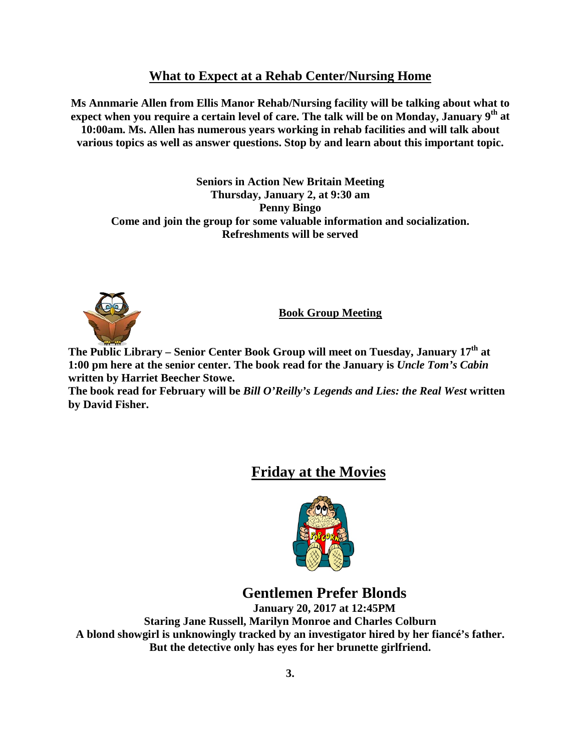## **What to Expect at a Rehab Center/Nursing Home**

**Ms Annmarie Allen from Ellis Manor Rehab/Nursing facility will be talking about what to expect when you require a certain level of care. The talk will be on Monday, January 9th at 10:00am. Ms. Allen has numerous years working in rehab facilities and will talk about various topics as well as answer questions. Stop by and learn about this important topic.**

**Seniors in Action New Britain Meeting Thursday, January 2, at 9:30 am Penny Bingo Come and join the group for some valuable information and socialization. Refreshments will be served**



**Book Group Meeting**

**The Public Library – Senior Center Book Group will meet on Tuesday, January 17th at 1:00 pm here at the senior center. The book read for the January is** *Uncle Tom's Cabin* **written by Harriet Beecher Stowe.**

**The book read for February will be** *Bill O'Reilly's Legends and Lies: the Real West* **written by David Fisher.** 

## **Friday at the Movies**



## **Gentlemen Prefer Blonds**

**January 20, 2017 at 12:45PM Staring Jane Russell, Marilyn Monroe and Charles Colburn A blond showgirl is unknowingly tracked by an investigator hired by her fiancé's father. But the detective only has eyes for her brunette girlfriend.**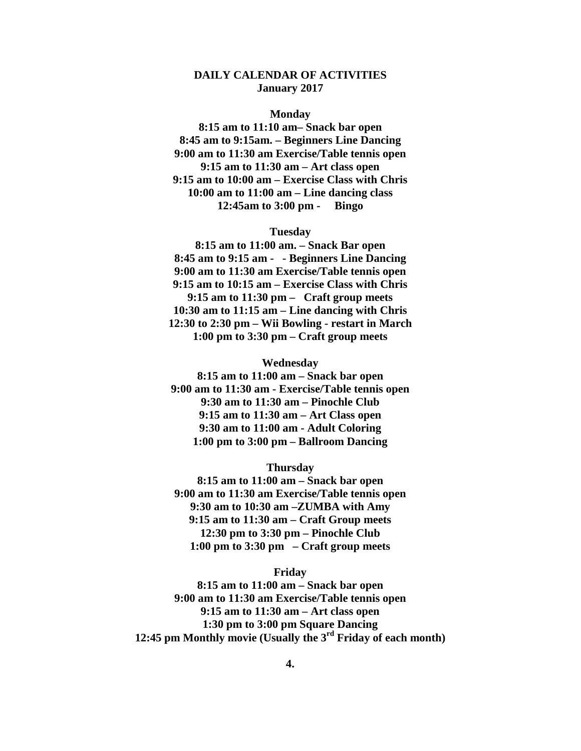#### **DAILY CALENDAR OF ACTIVITIES January 2017**

#### **Monday**

**8:15 am to 11:10 am– Snack bar open 8:45 am to 9:15am. – Beginners Line Dancing 9:00 am to 11:30 am Exercise/Table tennis open 9:15 am to 11:30 am – Art class open 9:15 am to 10:00 am – Exercise Class with Chris 10:00 am to 11:00 am – Line dancing class 12:45am to 3:00 pm - Bingo**

#### **Tuesday**

**8:15 am to 11:00 am. – Snack Bar open 8:45 am to 9:15 am - - Beginners Line Dancing 9:00 am to 11:30 am Exercise/Table tennis open 9:15 am to 10:15 am – Exercise Class with Chris 9:15 am to 11:30 pm – Craft group meets 10:30 am to 11:15 am – Line dancing with Chris 12:30 to 2:30 pm – Wii Bowling - restart in March 1:00 pm to 3:30 pm – Craft group meets**

#### **Wednesday**

**8:15 am to 11:00 am – Snack bar open 9:00 am to 11:30 am - Exercise/Table tennis open 9:30 am to 11:30 am – Pinochle Club 9:15 am to 11:30 am – Art Class open 9:30 am to 11:00 am - Adult Coloring 1:00 pm to 3:00 pm – Ballroom Dancing**

#### **Thursday**

**8:15 am to 11:00 am – Snack bar open 9:00 am to 11:30 am Exercise/Table tennis open 9:30 am to 10:30 am –ZUMBA with Amy 9:15 am to 11:30 am – Craft Group meets 12:30 pm to 3:30 pm – Pinochle Club 1:00 pm to 3:30 pm – Craft group meets**

#### **Friday**

**8:15 am to 11:00 am – Snack bar open 9:00 am to 11:30 am Exercise/Table tennis open 9:15 am to 11:30 am – Art class open 1:30 pm to 3:00 pm Square Dancing 12:45 pm Monthly movie (Usually the 3rd Friday of each month)**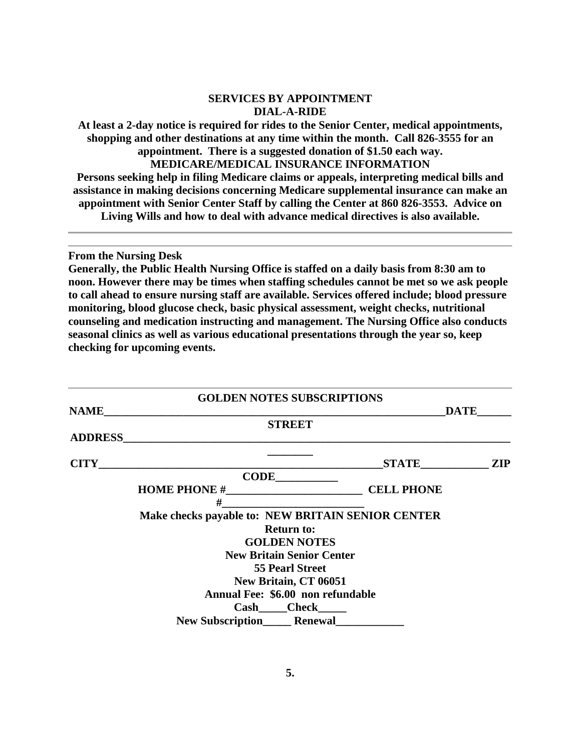#### **SERVICES BY APPOINTMENT DIAL-A-RIDE**

**At least a 2-day notice is required for rides to the Senior Center, medical appointments, shopping and other destinations at any time within the month. Call 826-3555 for an appointment. There is a suggested donation of \$1.50 each way.**

**MEDICARE/MEDICAL INSURANCE INFORMATION**

**Persons seeking help in filing Medicare claims or appeals, interpreting medical bills and assistance in making decisions concerning Medicare supplemental insurance can make an appointment with Senior Center Staff by calling the Center at 860 826-3553. Advice on Living Wills and how to deal with advance medical directives is also available.**

**From the Nursing Desk**

**Generally, the Public Health Nursing Office is staffed on a daily basis from 8:30 am to noon. However there may be times when staffing schedules cannot be met so we ask people to call ahead to ensure nursing staff are available. Services offered include; blood pressure monitoring, blood glucose check, basic physical assessment, weight checks, nutritional counseling and medication instructing and management. The Nursing Office also conducts seasonal clinics as well as various educational presentations through the year so, keep checking for upcoming events.** 

|                | <b>GOLDEN NOTES SUBSCRIPTIONS</b>                 |                   |            |
|----------------|---------------------------------------------------|-------------------|------------|
| <b>NAME</b>    |                                                   | <b>DATE</b>       |            |
|                | <b>STREET</b>                                     |                   |            |
| <b>ADDRESS</b> |                                                   |                   |            |
| <b>CITY</b>    |                                                   |                   | <b>ZIP</b> |
|                | <b>CODE</b>                                       |                   |            |
|                |                                                   | <b>CELL PHONE</b> |            |
|                | #                                                 |                   |            |
|                | Make checks payable to: NEW BRITAIN SENIOR CENTER |                   |            |
|                | <b>Return to:</b>                                 |                   |            |
|                | <b>GOLDEN NOTES</b>                               |                   |            |
|                | <b>New Britain Senior Center</b>                  |                   |            |
|                | <b>55 Pearl Street</b>                            |                   |            |
|                | New Britain, CT 06051                             |                   |            |
|                | Annual Fee: \$6.00 non refundable                 |                   |            |
|                |                                                   |                   |            |
|                | <b>New Subscription Renewal</b>                   |                   |            |